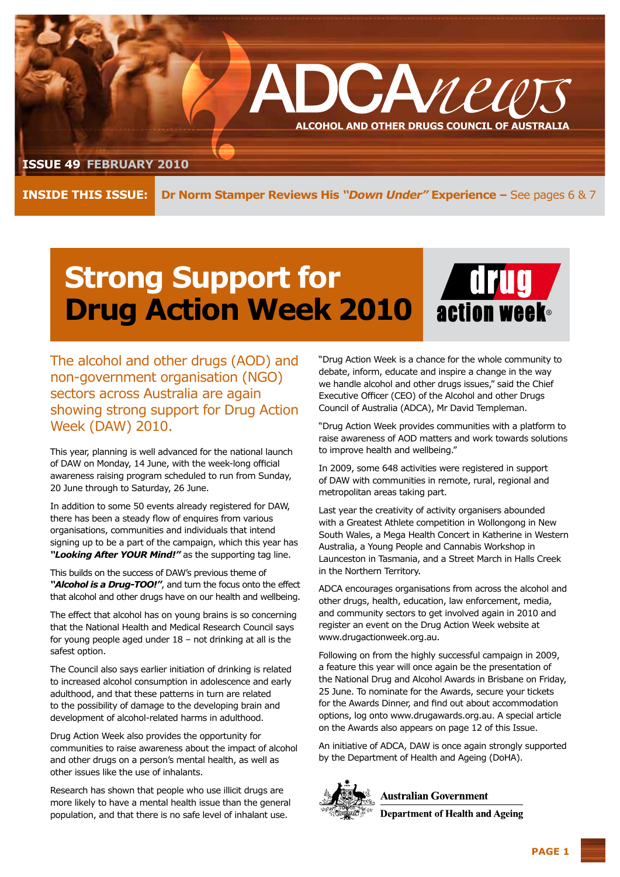

**Inside this issue:**

**Dr Norm Stamper Reviews His** *"Down Under"* **Experience –** See pages 6 & 7

## **Strong Support for Drug Action Week 2010**



The alcohol and other drugs (AOD) and non-government organisation (NGO) sectors across Australia are again showing strong support for Drug Action Week (DAW) 2010.

This year, planning is well advanced for the national launch of DAW on Monday, 14 June, with the week-long official awareness raising program scheduled to run from Sunday, 20 June through to Saturday, 26 June.

In addition to some 50 events already registered for DAW, there has been a steady flow of enquires from various organisations, communities and individuals that intend signing up to be a part of the campaign, which this year has *"Looking After YOUR Mind!"* as the supporting tag line.

This builds on the success of DAW's previous theme of *"Alcohol is a Drug-TOO!"*, and turn the focus onto the effect that alcohol and other drugs have on our health and wellbeing.

The effect that alcohol has on young brains is so concerning that the National Health and Medical Research Council says for young people aged under 18 – not drinking at all is the safest option.

The Council also says earlier initiation of drinking is related to increased alcohol consumption in adolescence and early adulthood, and that these patterns in turn are related to the possibility of damage to the developing brain and development of alcohol-related harms in adulthood.

Drug Action Week also provides the opportunity for communities to raise awareness about the impact of alcohol and other drugs on a person's mental health, as well as other issues like the use of inhalants.

Research has shown that people who use illicit drugs are more likely to have a mental health issue than the general population, and that there is no safe level of inhalant use.

"Drug Action Week is a chance for the whole community to debate, inform, educate and inspire a change in the way we handle alcohol and other drugs issues," said the Chief Executive Officer (CEO) of the Alcohol and other Drugs Council of Australia (ADCA), Mr David Templeman.

"Drug Action Week provides communities with a platform to raise awareness of AOD matters and work towards solutions to improve health and wellbeing."

In 2009, some 648 activities were registered in support of DAW with communities in remote, rural, regional and metropolitan areas taking part.

Last year the creativity of activity organisers abounded with a Greatest Athlete competition in Wollongong in New South Wales, a Mega Health Concert in Katherine in Western Australia, a Young People and Cannabis Workshop in Launceston in Tasmania, and a Street March in Halls Creek in the Northern Territory.

ADCA encourages organisations from across the alcohol and other drugs, health, education, law enforcement, media, and community sectors to get involved again in 2010 and register an event on the Drug Action Week website at www.drugactionweek.org.au.

Following on from the highly successful campaign in 2009, a feature this year will once again be the presentation of the National Drug and Alcohol Awards in Brisbane on Friday, 25 June. To nominate for the Awards, secure your tickets for the Awards Dinner, and find out about accommodation options, log onto www.drugawards.org.au. A special article on the Awards also appears on page 12 of this Issue.

An initiative of ADCA, DAW is once again strongly supported by the Department of Health and Ageing (DoHA).



**Australian Government** 

**Department of Health and Ageing**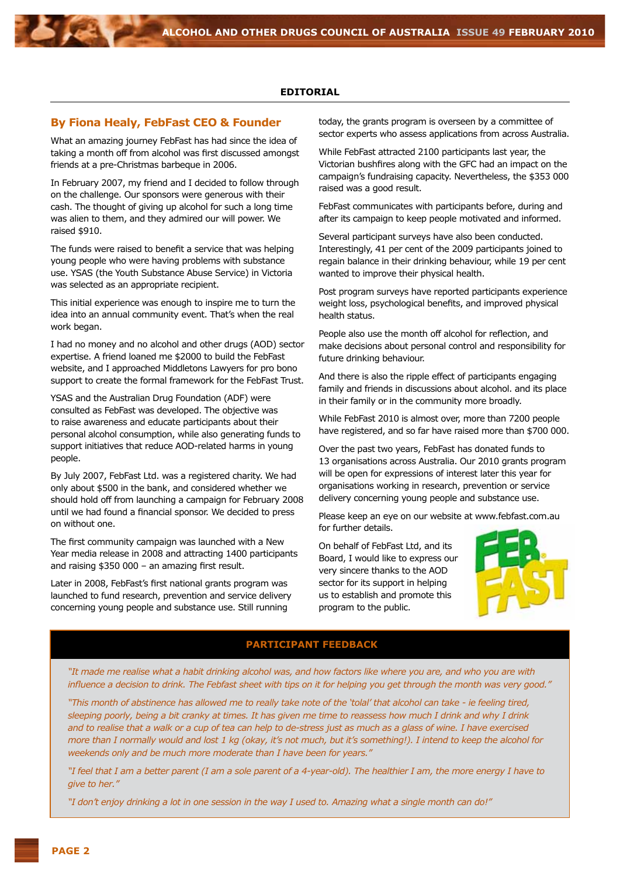#### **Editorial**

#### **By Fiona Healy, FebFast CEO & Founder**

What an amazing journey FebFast has had since the idea of taking a month off from alcohol was first discussed amongst friends at a pre-Christmas barbeque in 2006.

In February 2007, my friend and I decided to follow through on the challenge. Our sponsors were generous with their cash. The thought of giving up alcohol for such a long time was alien to them, and they admired our will power. We raised \$910.

The funds were raised to benefit a service that was helping young people who were having problems with substance use. YSAS (the Youth Substance Abuse Service) in Victoria was selected as an appropriate recipient.

This initial experience was enough to inspire me to turn the idea into an annual community event. That's when the real work began.

I had no money and no alcohol and other drugs (AOD) sector expertise. A friend loaned me \$2000 to build the FebFast website, and I approached Middletons Lawyers for pro bono support to create the formal framework for the FebFast Trust.

YSAS and the Australian Drug Foundation (ADF) were consulted as FebFast was developed. The objective was to raise awareness and educate participants about their personal alcohol consumption, while also generating funds to support initiatives that reduce AOD-related harms in young people.

By July 2007, FebFast Ltd. was a registered charity. We had only about \$500 in the bank, and considered whether we should hold off from launching a campaign for February 2008 until we had found a financial sponsor. We decided to press on without one.

The first community campaign was launched with a New Year media release in 2008 and attracting 1400 participants and raising \$350 000 – an amazing first result.

Later in 2008, FebFast's first national grants program was launched to fund research, prevention and service delivery concerning young people and substance use. Still running

today, the grants program is overseen by a committee of sector experts who assess applications from across Australia.

While FebFast attracted 2100 participants last year, the Victorian bushfires along with the GFC had an impact on the campaign's fundraising capacity. Nevertheless, the \$353 000 raised was a good result.

FebFast communicates with participants before, during and after its campaign to keep people motivated and informed.

Several participant surveys have also been conducted. Interestingly, 41 per cent of the 2009 participants joined to regain balance in their drinking behaviour, while 19 per cent wanted to improve their physical health.

Post program surveys have reported participants experience weight loss, psychological benefits, and improved physical health status.

People also use the month off alcohol for reflection, and make decisions about personal control and responsibility for future drinking behaviour.

And there is also the ripple effect of participants engaging family and friends in discussions about alcohol. and its place in their family or in the community more broadly.

While FebFast 2010 is almost over, more than 7200 people have registered, and so far have raised more than \$700 000.

Over the past two years, FebFast has donated funds to 13 organisations across Australia. Our 2010 grants program will be open for expressions of interest later this year for organisations working in research, prevention or service delivery concerning young people and substance use.

Please keep an eye on our website at www.febfast.com.au for further details.

On behalf of FebFast Ltd, and its Board, I would like to express our very sincere thanks to the AOD sector for its support in helping us to establish and promote this program to the public.



#### **Participant Feedback**

*"It made me realise what a habit drinking alcohol was, and how factors like where you are, and who you are with influence a decision to drink. The Febfast sheet with tips on it for helping you get through the month was very good."*

*"This month of abstinence has allowed me to really take note of the 'tolal' that alcohol can take - ie feeling tired, sleeping poorly, being a bit cranky at times. It has given me time to reassess how much I drink and why I drink and to realise that a walk or a cup of tea can help to de-stress just as much as a glass of wine. I have exercised more than I normally would and lost 1 kg (okay, it's not much, but it's something!). I intend to keep the alcohol for weekends only and be much more moderate than I have been for years."*

*"I feel that I am a better parent (I am a sole parent of a 4-year-old). The healthier I am, the more energy I have to give to her."*

*"I don't enjoy drinking a lot in one session in the way I used to. Amazing what a single month can do!"*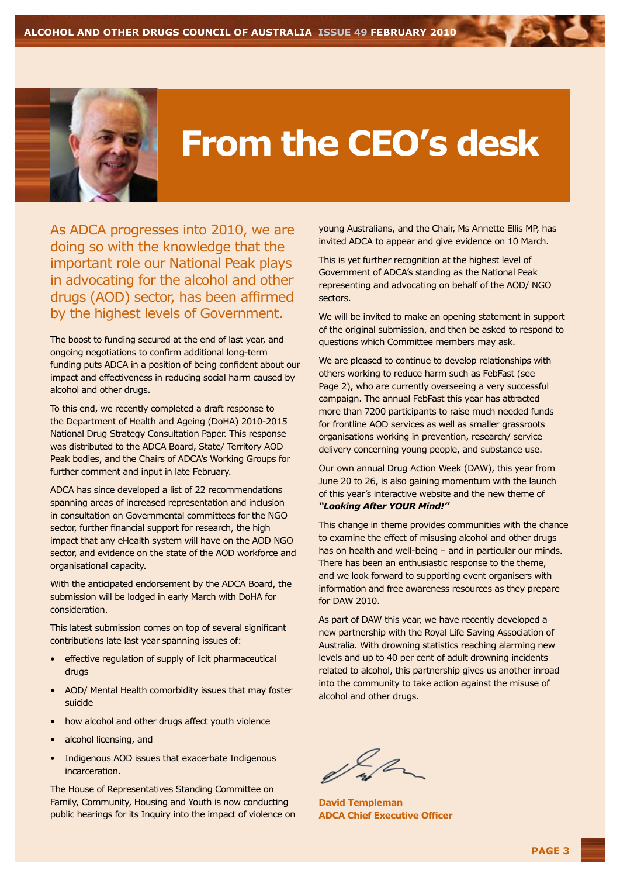

# **From the CEO's desk**

As ADCA progresses into 2010, we are doing so with the knowledge that the important role our National Peak plays in advocating for the alcohol and other drugs (AOD) sector, has been affirmed by the highest levels of Government.

The boost to funding secured at the end of last year, and ongoing negotiations to confirm additional long-term funding puts ADCA in a position of being confident about our impact and effectiveness in reducing social harm caused by alcohol and other drugs.

To this end, we recently completed a draft response to the Department of Health and Ageing (DoHA) 2010-2015 National Drug Strategy Consultation Paper. This response was distributed to the ADCA Board, State/ Territory AOD Peak bodies, and the Chairs of ADCA's Working Groups for further comment and input in late February.

ADCA has since developed a list of 22 recommendations spanning areas of increased representation and inclusion in consultation on Governmental committees for the NGO sector, further financial support for research, the high impact that any eHealth system will have on the AOD NGO sector, and evidence on the state of the AOD workforce and organisational capacity.

With the anticipated endorsement by the ADCA Board, the submission will be lodged in early March with DoHA for consideration.

This latest submission comes on top of several significant contributions late last year spanning issues of:

- effective regulation of supply of licit pharmaceutical drugs
- AOD/ Mental Health comorbidity issues that may foster suicide
- how alcohol and other drugs affect youth violence
- alcohol licensing, and
- Indigenous AOD issues that exacerbate Indigenous incarceration.

The House of Representatives Standing Committee on Family, Community, Housing and Youth is now conducting public hearings for its Inquiry into the impact of violence on young Australians, and the Chair, Ms Annette Ellis MP, has invited ADCA to appear and give evidence on 10 March.

This is yet further recognition at the highest level of Government of ADCA's standing as the National Peak representing and advocating on behalf of the AOD/ NGO sectors.

We will be invited to make an opening statement in support of the original submission, and then be asked to respond to questions which Committee members may ask.

We are pleased to continue to develop relationships with others working to reduce harm such as FebFast (see Page 2), who are currently overseeing a very successful campaign. The annual FebFast this year has attracted more than 7200 participants to raise much needed funds for frontline AOD services as well as smaller grassroots organisations working in prevention, research/ service delivery concerning young people, and substance use.

Our own annual Drug Action Week (DAW), this year from June 20 to 26, is also gaining momentum with the launch of this year's interactive website and the new theme of *"Looking After YOUR Mind!"*

This change in theme provides communities with the chance to examine the effect of misusing alcohol and other drugs has on health and well-being – and in particular our minds. There has been an enthusiastic response to the theme, and we look forward to supporting event organisers with information and free awareness resources as they prepare for DAW 2010.

As part of DAW this year, we have recently developed a new partnership with the Royal Life Saving Association of Australia. With drowning statistics reaching alarming new levels and up to 40 per cent of adult drowning incidents related to alcohol, this partnership gives us another inroad into the community to take action against the misuse of alcohol and other drugs.

**David Templeman ADCA Chief Executive Officer**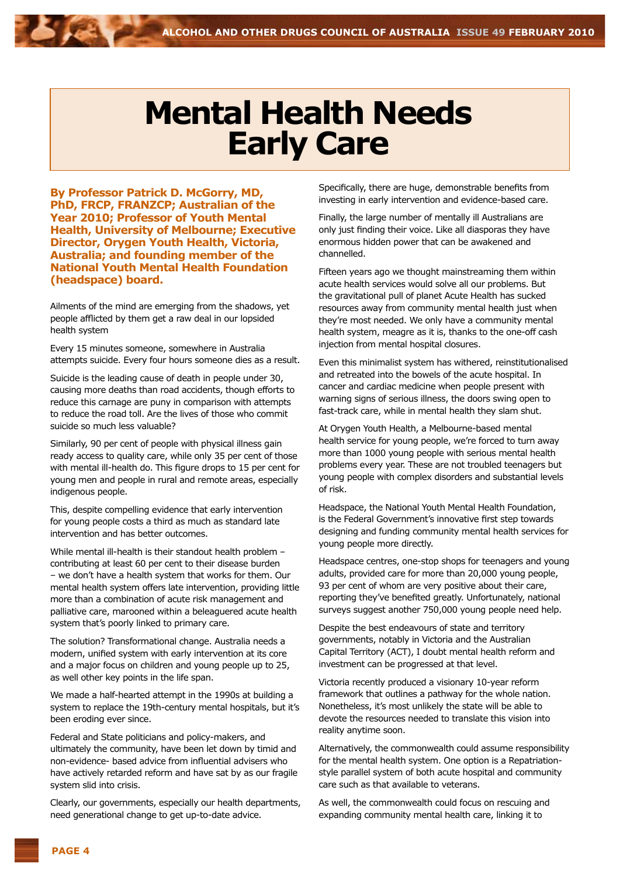### **Mental Health Needs Early Care**

**By Professor Patrick D. McGorry, MD, PhD, FRCP, FRANZCP; Australian of the Year 2010; Professor of Youth Mental Health, University of Melbourne; Executive Director, Orygen Youth Health, Victoria, Australia; and founding member of the National Youth Mental Health Foundation (headspace) board.**

Ailments of the mind are emerging from the shadows, yet people afflicted by them get a raw deal in our lopsided health system

Every 15 minutes someone, somewhere in Australia attempts suicide. Every four hours someone dies as a result.

Suicide is the leading cause of death in people under 30, causing more deaths than road accidents, though efforts to reduce this carnage are puny in comparison with attempts to reduce the road toll. Are the lives of those who commit suicide so much less valuable?

Similarly, 90 per cent of people with physical illness gain ready access to quality care, while only 35 per cent of those with mental ill-health do. This figure drops to 15 per cent for young men and people in rural and remote areas, especially indigenous people.

This, despite compelling evidence that early intervention for young people costs a third as much as standard late intervention and has better outcomes.

While mental ill-health is their standout health problem – contributing at least 60 per cent to their disease burden – we don't have a health system that works for them. Our mental health system offers late intervention, providing little more than a combination of acute risk management and palliative care, marooned within a beleaguered acute health system that's poorly linked to primary care.

The solution? Transformational change. Australia needs a modern, unified system with early intervention at its core and a major focus on children and young people up to 25, as well other key points in the life span.

We made a half-hearted attempt in the 1990s at building a system to replace the 19th-century mental hospitals, but it's been eroding ever since.

Federal and State politicians and policy-makers, and ultimately the community, have been let down by timid and non-evidence- based advice from influential advisers who have actively retarded reform and have sat by as our fragile system slid into crisis.

Clearly, our governments, especially our health departments, need generational change to get up-to-date advice.

Specifically, there are huge, demonstrable benefits from investing in early intervention and evidence-based care.

Finally, the large number of mentally ill Australians are only just finding their voice. Like all diasporas they have enormous hidden power that can be awakened and channelled.

Fifteen years ago we thought mainstreaming them within acute health services would solve all our problems. But the gravitational pull of planet Acute Health has sucked resources away from community mental health just when they're most needed. We only have a community mental health system, meagre as it is, thanks to the one-off cash injection from mental hospital closures.

Even this minimalist system has withered, reinstitutionalised and retreated into the bowels of the acute hospital. In cancer and cardiac medicine when people present with warning signs of serious illness, the doors swing open to fast-track care, while in mental health they slam shut.

At Orygen Youth Health, a Melbourne-based mental health service for young people, we're forced to turn away more than 1000 young people with serious mental health problems every year. These are not troubled teenagers but young people with complex disorders and substantial levels of risk.

Headspace, the National Youth Mental Health Foundation, is the Federal Government's innovative first step towards designing and funding community mental health services for young people more directly.

Headspace centres, one-stop shops for teenagers and young adults, provided care for more than 20,000 young people, 93 per cent of whom are very positive about their care, reporting they've benefited greatly. Unfortunately, national surveys suggest another 750,000 young people need help.

Despite the best endeavours of state and territory governments, notably in Victoria and the Australian Capital Territory (ACT), I doubt mental health reform and investment can be progressed at that level.

Victoria recently produced a visionary 10-year reform framework that outlines a pathway for the whole nation. Nonetheless, it's most unlikely the state will be able to devote the resources needed to translate this vision into reality anytime soon.

Alternatively, the commonwealth could assume responsibility for the mental health system. One option is a Repatriationstyle parallel system of both acute hospital and community care such as that available to veterans.

As well, the commonwealth could focus on rescuing and expanding community mental health care, linking it to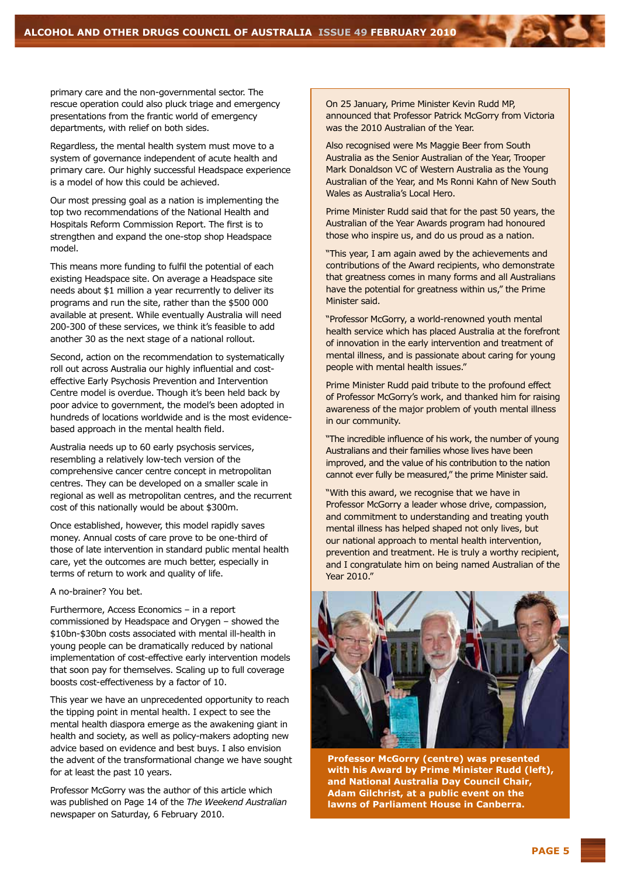primary care and the non-governmental sector. The rescue operation could also pluck triage and emergency presentations from the frantic world of emergency departments, with relief on both sides.

Regardless, the mental health system must move to a system of governance independent of acute health and primary care. Our highly successful Headspace experience is a model of how this could be achieved.

Our most pressing goal as a nation is implementing the top two recommendations of the National Health and Hospitals Reform Commission Report. The first is to strengthen and expand the one-stop shop Headspace model.

This means more funding to fulfil the potential of each existing Headspace site. On average a Headspace site needs about \$1 million a year recurrently to deliver its programs and run the site, rather than the \$500 000 available at present. While eventually Australia will need 200-300 of these services, we think it's feasible to add another 30 as the next stage of a national rollout.

Second, action on the recommendation to systematically roll out across Australia our highly influential and costeffective Early Psychosis Prevention and Intervention Centre model is overdue. Though it's been held back by poor advice to government, the model's been adopted in hundreds of locations worldwide and is the most evidencebased approach in the mental health field.

Australia needs up to 60 early psychosis services, resembling a relatively low-tech version of the comprehensive cancer centre concept in metropolitan centres. They can be developed on a smaller scale in regional as well as metropolitan centres, and the recurrent cost of this nationally would be about \$300m.

Once established, however, this model rapidly saves money. Annual costs of care prove to be one-third of those of late intervention in standard public mental health care, yet the outcomes are much better, especially in terms of return to work and quality of life.

A no-brainer? You bet.

Furthermore, Access Economics – in a report commissioned by Headspace and Orygen – showed the \$10bn-\$30bn costs associated with mental ill-health in young people can be dramatically reduced by national implementation of cost-effective early intervention models that soon pay for themselves. Scaling up to full coverage boosts cost-effectiveness by a factor of 10.

This year we have an unprecedented opportunity to reach the tipping point in mental health. I expect to see the mental health diaspora emerge as the awakening giant in health and society, as well as policy-makers adopting new advice based on evidence and best buys. I also envision the advent of the transformational change we have sought for at least the past 10 years.

Professor McGorry was the author of this article which was published on Page 14 of the *The Weekend Australian*  newspaper on Saturday, 6 February 2010.

On 25 January, Prime Minister Kevin Rudd MP, announced that Professor Patrick McGorry from Victoria was the 2010 Australian of the Year.

Also recognised were Ms Maggie Beer from South Australia as the Senior Australian of the Year, Trooper Mark Donaldson VC of Western Australia as the Young Australian of the Year, and Ms Ronni Kahn of New South Wales as Australia's Local Hero.

Prime Minister Rudd said that for the past 50 years, the Australian of the Year Awards program had honoured those who inspire us, and do us proud as a nation.

"This year, I am again awed by the achievements and contributions of the Award recipients, who demonstrate that greatness comes in many forms and all Australians have the potential for greatness within us," the Prime Minister said.

"Professor McGorry, a world-renowned youth mental health service which has placed Australia at the forefront of innovation in the early intervention and treatment of mental illness, and is passionate about caring for young people with mental health issues."

Prime Minister Rudd paid tribute to the profound effect of Professor McGorry's work, and thanked him for raising awareness of the major problem of youth mental illness in our community.

"The incredible influence of his work, the number of young Australians and their families whose lives have been improved, and the value of his contribution to the nation cannot ever fully be measured," the prime Minister said.

"With this award, we recognise that we have in Professor McGorry a leader whose drive, compassion, and commitment to understanding and treating youth mental illness has helped shaped not only lives, but our national approach to mental health intervention, prevention and treatment. He is truly a worthy recipient, and I congratulate him on being named Australian of the Year 2010."



**Professor McGorry (centre) was presented with his Award by Prime Minister Rudd (left), and National Australia Day Council Chair, Adam Gilchrist, at a public event on the lawns of Parliament House in Canberra.**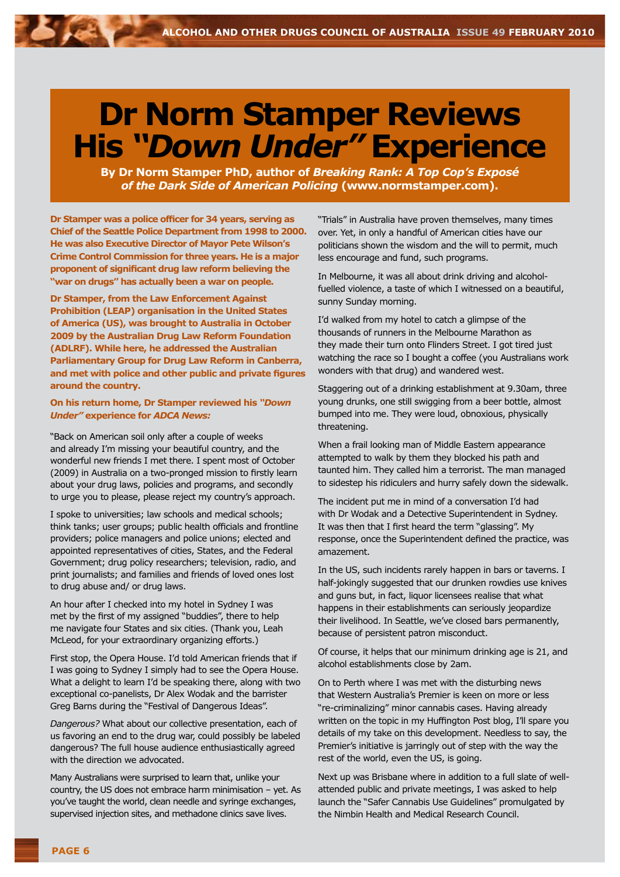## **Dr Norm Stamper Reviews His** *"Down Under"* **Experience**

**By Dr Norm Stamper PhD, author of** *Breaking Rank: A Top Cop's Exposé of the Dark Side of American Policing* **(www.normstamper.com).**

**Dr Stamper was a police officer for 34 years, serving as Chief of the Seattle Police Department from 1998 to 2000. He was also Executive Director of Mayor Pete Wilson's Crime Control Commission for three years. He is a major proponent of significant drug law reform believing the "war on drugs" has actually been a war on people.**

**Dr Stamper, from the Law Enforcement Against Prohibition (LEAP) organisation in the United States of America (US), was brought to Australia in October 2009 by the Australian Drug Law Reform Foundation (ADLRF). While here, he addressed the Australian Parliamentary Group for Drug Law Reform in Canberra, and met with police and other public and private figures around the country.**

#### **On his return home, Dr Stamper reviewed his** *"Down Under"* **experience for** *ADCA News:*

"Back on American soil only after a couple of weeks and already I'm missing your beautiful country, and the wonderful new friends I met there. I spent most of October (2009) in Australia on a two-pronged mission to firstly learn about your drug laws, policies and programs, and secondly to urge you to please, please reject my country's approach.

I spoke to universities; law schools and medical schools; think tanks; user groups; public health officials and frontline providers; police managers and police unions; elected and appointed representatives of cities, States, and the Federal Government; drug policy researchers; television, radio, and print journalists; and families and friends of loved ones lost to drug abuse and/ or drug laws.

An hour after I checked into my hotel in Sydney I was met by the first of my assigned "buddies", there to help me navigate four States and six cities. (Thank you, Leah McLeod, for your extraordinary organizing efforts.)

First stop, the Opera House. I'd told American friends that if I was going to Sydney I simply had to see the Opera House. What a delight to learn I'd be speaking there, along with two exceptional co-panelists, Dr Alex Wodak and the barrister Greg Barns during the "Festival of Dangerous Ideas".

*Dangerous?* What about our collective presentation, each of us favoring an end to the drug war, could possibly be labeled dangerous? The full house audience enthusiastically agreed with the direction we advocated.

Many Australians were surprised to learn that, unlike your country, the US does not embrace harm minimisation – yet. As you've taught the world, clean needle and syringe exchanges, supervised injection sites, and methadone clinics save lives.

"Trials" in Australia have proven themselves, many times over. Yet, in only a handful of American cities have our politicians shown the wisdom and the will to permit, much less encourage and fund, such programs.

In Melbourne, it was all about drink driving and alcoholfuelled violence, a taste of which I witnessed on a beautiful, sunny Sunday morning.

I'd walked from my hotel to catch a glimpse of the thousands of runners in the Melbourne Marathon as they made their turn onto Flinders Street. I got tired just watching the race so I bought a coffee (you Australians work wonders with that drug) and wandered west.

Staggering out of a drinking establishment at 9.30am, three young drunks, one still swigging from a beer bottle, almost bumped into me. They were loud, obnoxious, physically threatening.

When a frail looking man of Middle Eastern appearance attempted to walk by them they blocked his path and taunted him. They called him a terrorist. The man managed to sidestep his ridiculers and hurry safely down the sidewalk.

The incident put me in mind of a conversation I'd had with Dr Wodak and a Detective Superintendent in Sydney. It was then that I first heard the term "glassing". My response, once the Superintendent defined the practice, was amazement.

In the US, such incidents rarely happen in bars or taverns. I half-jokingly suggested that our drunken rowdies use knives and guns but, in fact, liquor licensees realise that what happens in their establishments can seriously jeopardize their livelihood. In Seattle, we've closed bars permanently, because of persistent patron misconduct.

Of course, it helps that our minimum drinking age is 21, and alcohol establishments close by 2am.

On to Perth where I was met with the disturbing news that Western Australia's Premier is keen on more or less "re-criminalizing" minor cannabis cases. Having already written on the topic in my Huffington Post blog, I'll spare you details of my take on this development. Needless to say, the Premier's initiative is jarringly out of step with the way the rest of the world, even the US, is going.

Next up was Brisbane where in addition to a full slate of wellattended public and private meetings, I was asked to help launch the "Safer Cannabis Use Guidelines" promulgated by the Nimbin Health and Medical Research Council.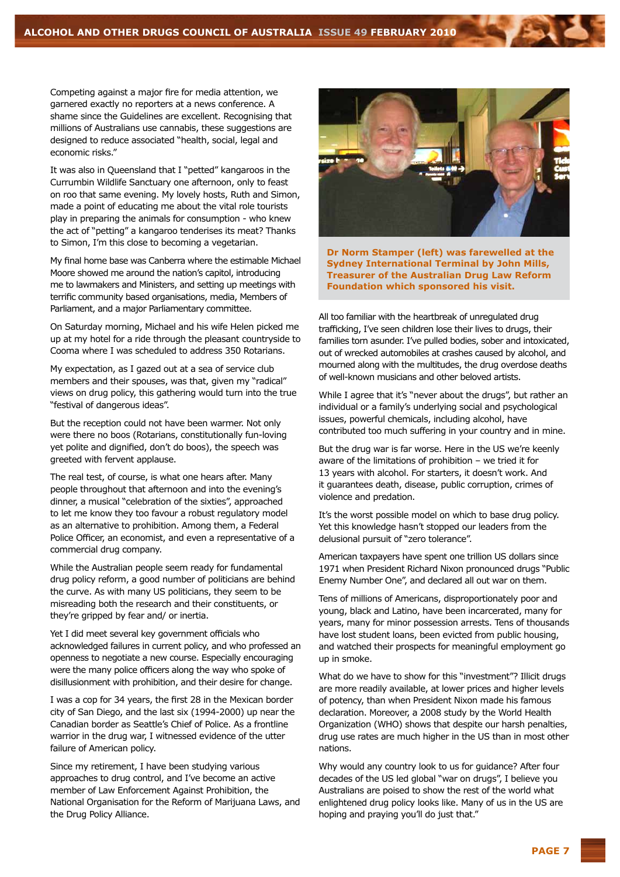Competing against a major fire for media attention, we garnered exactly no reporters at a news conference. A shame since the Guidelines are excellent. Recognising that millions of Australians use cannabis, these suggestions are designed to reduce associated "health, social, legal and economic risks."

It was also in Queensland that I "petted" kangaroos in the Currumbin Wildlife Sanctuary one afternoon, only to feast on roo that same evening. My lovely hosts, Ruth and Simon, made a point of educating me about the vital role tourists play in preparing the animals for consumption - who knew the act of "petting" a kangaroo tenderises its meat? Thanks to Simon, I'm this close to becoming a vegetarian.

My final home base was Canberra where the estimable Michael Moore showed me around the nation's capitol, introducing me to lawmakers and Ministers, and setting up meetings with terrific community based organisations, media, Members of Parliament, and a major Parliamentary committee.

On Saturday morning, Michael and his wife Helen picked me up at my hotel for a ride through the pleasant countryside to Cooma where I was scheduled to address 350 Rotarians.

My expectation, as I gazed out at a sea of service club members and their spouses, was that, given my "radical" views on drug policy, this gathering would turn into the true "festival of dangerous ideas".

But the reception could not have been warmer. Not only were there no boos (Rotarians, constitutionally fun-loving yet polite and dignified, don't do boos), the speech was greeted with fervent applause.

The real test, of course, is what one hears after. Many people throughout that afternoon and into the evening's dinner, a musical "celebration of the sixties", approached to let me know they too favour a robust regulatory model as an alternative to prohibition. Among them, a Federal Police Officer, an economist, and even a representative of a commercial drug company.

While the Australian people seem ready for fundamental drug policy reform, a good number of politicians are behind the curve. As with many US politicians, they seem to be misreading both the research and their constituents, or they're gripped by fear and/ or inertia.

Yet I did meet several key government officials who acknowledged failures in current policy, and who professed an openness to negotiate a new course. Especially encouraging were the many police officers along the way who spoke of disillusionment with prohibition, and their desire for change.

I was a cop for 34 years, the first 28 in the Mexican border city of San Diego, and the last six (1994-2000) up near the Canadian border as Seattle's Chief of Police. As a frontline warrior in the drug war, I witnessed evidence of the utter failure of American policy.

Since my retirement, I have been studying various approaches to drug control, and I've become an active member of Law Enforcement Against Prohibition, the National Organisation for the Reform of Marijuana Laws, and the Drug Policy Alliance.



**Dr Norm Stamper (left) was farewelled at the Sydney International Terminal by John Mills, Treasurer of the Australian Drug Law Reform Foundation which sponsored his visit.**

All too familiar with the heartbreak of unregulated drug trafficking, I've seen children lose their lives to drugs, their families torn asunder. I've pulled bodies, sober and intoxicated, out of wrecked automobiles at crashes caused by alcohol, and mourned along with the multitudes, the drug overdose deaths of well-known musicians and other beloved artists.

While I agree that it's "never about the drugs", but rather an individual or a family's underlying social and psychological issues, powerful chemicals, including alcohol, have contributed too much suffering in your country and in mine.

But the drug war is far worse. Here in the US we're keenly aware of the limitations of prohibition – we tried it for 13 years with alcohol. For starters, it doesn't work. And it guarantees death, disease, public corruption, crimes of violence and predation.

It's the worst possible model on which to base drug policy. Yet this knowledge hasn't stopped our leaders from the delusional pursuit of "zero tolerance".

American taxpayers have spent one trillion US dollars since 1971 when President Richard Nixon pronounced drugs "Public Enemy Number One", and declared all out war on them.

Tens of millions of Americans, disproportionately poor and young, black and Latino, have been incarcerated, many for years, many for minor possession arrests. Tens of thousands have lost student loans, been evicted from public housing, and watched their prospects for meaningful employment go up in smoke.

What do we have to show for this "investment"? Illicit drugs are more readily available, at lower prices and higher levels of potency, than when President Nixon made his famous declaration. Moreover, a 2008 study by the World Health Organization (WHO) shows that despite our harsh penalties, drug use rates are much higher in the US than in most other nations.

Why would any country look to us for guidance? After four decades of the US led global "war on drugs", I believe you Australians are poised to show the rest of the world what enlightened drug policy looks like. Many of us in the US are hoping and praying you'll do just that."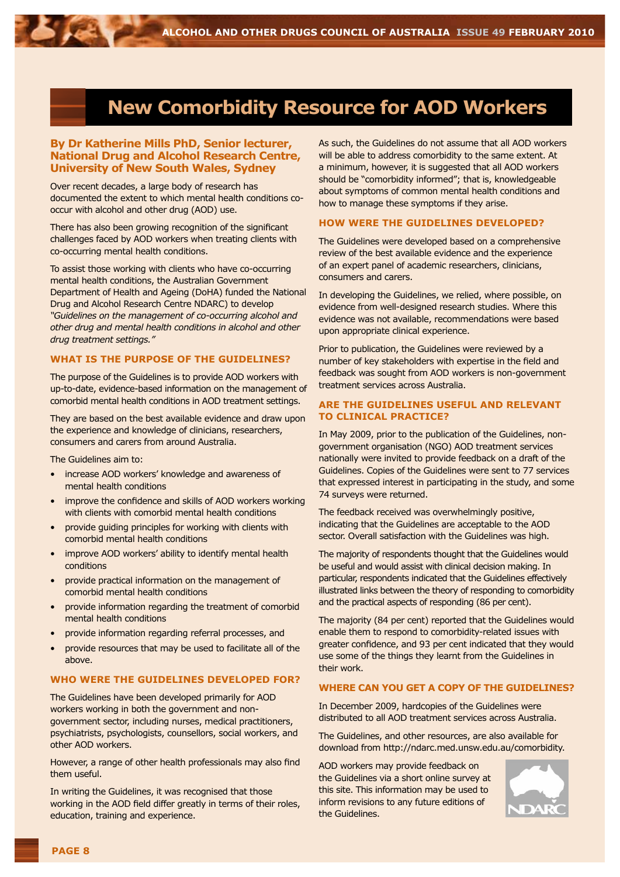### **New Comorbidity Resource for AOD Workers**

#### **By Dr Katherine Mills PhD, Senior lecturer, National Drug and Alcohol Research Centre, University of New South Wales, Sydney**

Over recent decades, a large body of research has documented the extent to which mental health conditions cooccur with alcohol and other drug (AOD) use.

There has also been growing recognition of the significant challenges faced by AOD workers when treating clients with co-occurring mental health conditions.

To assist those working with clients who have co-occurring mental health conditions, the Australian Government Department of Health and Ageing (DoHA) funded the National Drug and Alcohol Research Centre NDARC) to develop *"Guidelines on the management of co-occurring alcohol and other drug and mental health conditions in alcohol and other drug treatment settings."*

#### **What is the purpose of the Guidelines?**

The purpose of the Guidelines is to provide AOD workers with up-to-date, evidence-based information on the management of comorbid mental health conditions in AOD treatment settings.

They are based on the best available evidence and draw upon the experience and knowledge of clinicians, researchers, consumers and carers from around Australia.

The Guidelines aim to:

- increase AOD workers' knowledge and awareness of mental health conditions
- improve the confidence and skills of AOD workers working with clients with comorbid mental health conditions
- provide guiding principles for working with clients with comorbid mental health conditions
- improve AOD workers' ability to identify mental health conditions
- provide practical information on the management of comorbid mental health conditions
- provide information regarding the treatment of comorbid mental health conditions
- provide information regarding referral processes, and
- provide resources that may be used to facilitate all of the above.

#### **Who were the Guidelines developed for?**

The Guidelines have been developed primarily for AOD workers working in both the government and nongovernment sector, including nurses, medical practitioners, psychiatrists, psychologists, counsellors, social workers, and other AOD workers.

However, a range of other health professionals may also find them useful.

In writing the Guidelines, it was recognised that those working in the AOD field differ greatly in terms of their roles, education, training and experience.

As such, the Guidelines do not assume that all AOD workers will be able to address comorbidity to the same extent. At a minimum, however, it is suggested that all AOD workers should be "comorbidity informed"; that is, knowledgeable about symptoms of common mental health conditions and how to manage these symptoms if they arise.

#### **How were the Guidelines developed?**

The Guidelines were developed based on a comprehensive review of the best available evidence and the experience of an expert panel of academic researchers, clinicians, consumers and carers.

In developing the Guidelines, we relied, where possible, on evidence from well-designed research studies. Where this evidence was not available, recommendations were based upon appropriate clinical experience.

Prior to publication, the Guidelines were reviewed by a number of key stakeholders with expertise in the field and feedback was sought from AOD workers is non-government treatment services across Australia.

#### **Are the Guidelines useful and relevant to clinical practice?**

In May 2009, prior to the publication of the Guidelines, nongovernment organisation (NGO) AOD treatment services nationally were invited to provide feedback on a draft of the Guidelines. Copies of the Guidelines were sent to 77 services that expressed interest in participating in the study, and some 74 surveys were returned.

The feedback received was overwhelmingly positive, indicating that the Guidelines are acceptable to the AOD sector. Overall satisfaction with the Guidelines was high.

The majority of respondents thought that the Guidelines would be useful and would assist with clinical decision making. In particular, respondents indicated that the Guidelines effectively illustrated links between the theory of responding to comorbidity and the practical aspects of responding (86 per cent).

The majority (84 per cent) reported that the Guidelines would enable them to respond to comorbidity-related issues with greater confidence, and 93 per cent indicated that they would use some of the things they learnt from the Guidelines in their work.

#### **Where can you get a copy of the Guidelines?**

In December 2009, hardcopies of the Guidelines were distributed to all AOD treatment services across Australia.

The Guidelines, and other resources, are also available for download from http://ndarc.med.unsw.edu.au/comorbidity.

AOD workers may provide feedback on the Guidelines via a short online survey at this site. This information may be used to inform revisions to any future editions of the Guidelines.

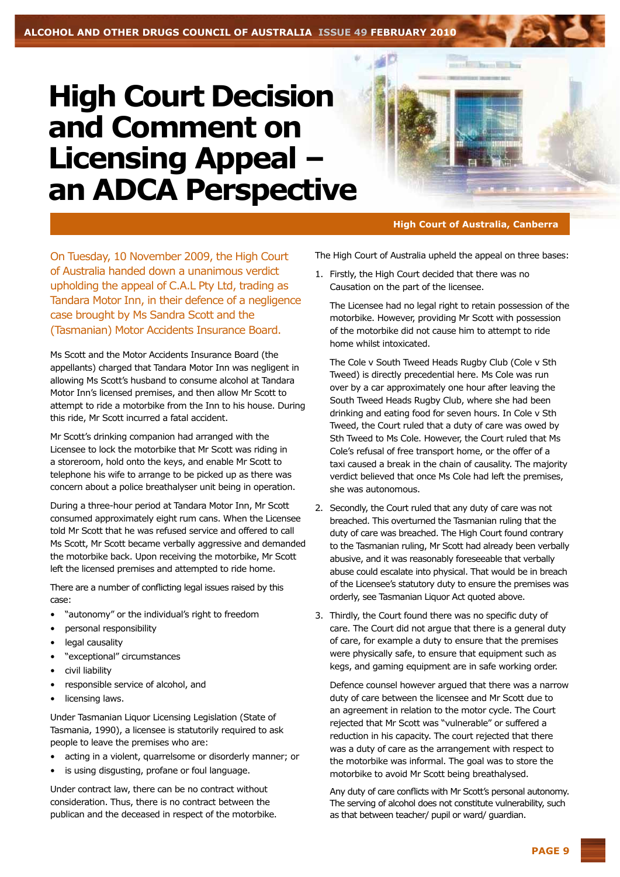### **High Court Decision and Comment on Licensing Appeal an ADCA Perspective**



#### **High Court of Australia, Canberra**

On Tuesday, 10 November 2009, the High Court of Australia handed down a unanimous verdict upholding the appeal of C.A.L Pty Ltd, trading as Tandara Motor Inn, in their defence of a negligence case brought by Ms Sandra Scott and the (Tasmanian) Motor Accidents Insurance Board.

Ms Scott and the Motor Accidents Insurance Board (the appellants) charged that Tandara Motor Inn was negligent in allowing Ms Scott's husband to consume alcohol at Tandara Motor Inn's licensed premises, and then allow Mr Scott to attempt to ride a motorbike from the Inn to his house. During this ride, Mr Scott incurred a fatal accident.

Mr Scott's drinking companion had arranged with the Licensee to lock the motorbike that Mr Scott was riding in a storeroom, hold onto the keys, and enable Mr Scott to telephone his wife to arrange to be picked up as there was concern about a police breathalyser unit being in operation.

During a three-hour period at Tandara Motor Inn, Mr Scott consumed approximately eight rum cans. When the Licensee told Mr Scott that he was refused service and offered to call Ms Scott, Mr Scott became verbally aggressive and demanded the motorbike back. Upon receiving the motorbike, Mr Scott left the licensed premises and attempted to ride home.

There are a number of conflicting legal issues raised by this case:

- "autonomy" or the individual's right to freedom
- personal responsibility
- legal causality
- "exceptional" circumstances
- civil liability
- responsible service of alcohol, and
- licensing laws.

Under Tasmanian Liquor Licensing Legislation (State of Tasmania, 1990), a licensee is statutorily required to ask people to leave the premises who are:

- acting in a violent, quarrelsome or disorderly manner; or
- is using disgusting, profane or foul language.

Under contract law, there can be no contract without consideration. Thus, there is no contract between the publican and the deceased in respect of the motorbike. The High Court of Australia upheld the appeal on three bases:

1. Firstly, the High Court decided that there was no Causation on the part of the licensee.

The Licensee had no legal right to retain possession of the motorbike. However, providing Mr Scott with possession of the motorbike did not cause him to attempt to ride home whilst intoxicated.

The Cole v South Tweed Heads Rugby Club (Cole v Sth Tweed) is directly precedential here. Ms Cole was run over by a car approximately one hour after leaving the South Tweed Heads Rugby Club, where she had been drinking and eating food for seven hours. In Cole v Sth Tweed, the Court ruled that a duty of care was owed by Sth Tweed to Ms Cole. However, the Court ruled that Ms Cole's refusal of free transport home, or the offer of a taxi caused a break in the chain of causality. The majority verdict believed that once Ms Cole had left the premises, she was autonomous.

- 2. Secondly, the Court ruled that any duty of care was not breached. This overturned the Tasmanian ruling that the duty of care was breached. The High Court found contrary to the Tasmanian ruling, Mr Scott had already been verbally abusive, and it was reasonably foreseeable that verbally abuse could escalate into physical. That would be in breach of the Licensee's statutory duty to ensure the premises was orderly, see Tasmanian Liquor Act quoted above.
- 3. Thirdly, the Court found there was no specific duty of care. The Court did not argue that there is a general duty of care, for example a duty to ensure that the premises were physically safe, to ensure that equipment such as kegs, and gaming equipment are in safe working order.

Defence counsel however argued that there was a narrow duty of care between the licensee and Mr Scott due to an agreement in relation to the motor cycle. The Court rejected that Mr Scott was "vulnerable" or suffered a reduction in his capacity. The court rejected that there was a duty of care as the arrangement with respect to the motorbike was informal. The goal was to store the motorbike to avoid Mr Scott being breathalysed.

Any duty of care conflicts with Mr Scott's personal autonomy. The serving of alcohol does not constitute vulnerability, such as that between teacher/ pupil or ward/ guardian.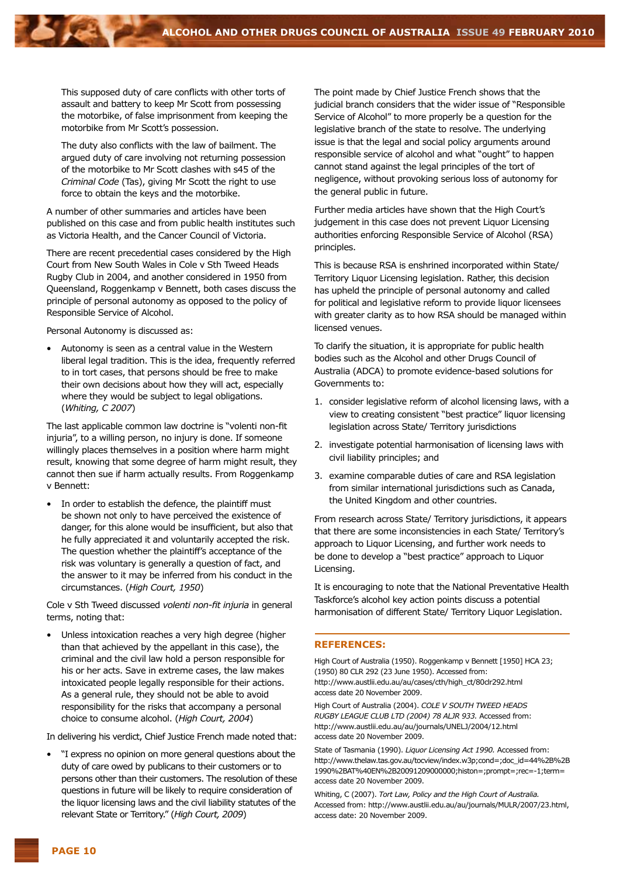This supposed duty of care conflicts with other torts of assault and battery to keep Mr Scott from possessing the motorbike, of false imprisonment from keeping the motorbike from Mr Scott's possession.

The duty also conflicts with the law of bailment. The argued duty of care involving not returning possession of the motorbike to Mr Scott clashes with s45 of the *Criminal Code* (Tas), giving Mr Scott the right to use force to obtain the keys and the motorbike.

A number of other summaries and articles have been published on this case and from public health institutes such as Victoria Health, and the Cancer Council of Victoria.

There are recent precedential cases considered by the High Court from New South Wales in Cole v Sth Tweed Heads Rugby Club in 2004, and another considered in 1950 from Queensland, Roggenkamp v Bennett, both cases discuss the principle of personal autonomy as opposed to the policy of Responsible Service of Alcohol.

Personal Autonomy is discussed as:

• Autonomy is seen as a central value in the Western liberal legal tradition. This is the idea, frequently referred to in tort cases, that persons should be free to make their own decisions about how they will act, especially where they would be subject to legal obligations. (*Whiting, C 2007*)

The last applicable common law doctrine is "volenti non-fit injuria", to a willing person, no injury is done. If someone willingly places themselves in a position where harm might result, knowing that some degree of harm might result, they cannot then sue if harm actually results. From Roggenkamp v Bennett:

In order to establish the defence, the plaintiff must be shown not only to have perceived the existence of danger, for this alone would be insufficient, but also that he fully appreciated it and voluntarily accepted the risk. The question whether the plaintiff's acceptance of the risk was voluntary is generally a question of fact, and the answer to it may be inferred from his conduct in the circumstances. (*High Court, 1950*)

Cole v Sth Tweed discussed *volenti non-fit injuria* in general terms, noting that:

Unless intoxication reaches a very high degree (higher than that achieved by the appellant in this case), the criminal and the civil law hold a person responsible for his or her acts. Save in extreme cases, the law makes intoxicated people legally responsible for their actions. As a general rule, they should not be able to avoid responsibility for the risks that accompany a personal choice to consume alcohol. (*High Court, 2004*)

In delivering his verdict, Chief Justice French made noted that:

• "I express no opinion on more general questions about the duty of care owed by publicans to their customers or to persons other than their customers. The resolution of these questions in future will be likely to require consideration of the liquor licensing laws and the civil liability statutes of the relevant State or Territory." (*High Court, 2009*)

The point made by Chief Justice French shows that the judicial branch considers that the wider issue of "Responsible Service of Alcohol" to more properly be a question for the legislative branch of the state to resolve. The underlying issue is that the legal and social policy arguments around responsible service of alcohol and what "ought" to happen cannot stand against the legal principles of the tort of negligence, without provoking serious loss of autonomy for the general public in future.

Further media articles have shown that the High Court's judgement in this case does not prevent Liquor Licensing authorities enforcing Responsible Service of Alcohol (RSA) principles.

This is because RSA is enshrined incorporated within State/ Territory Liquor Licensing legislation. Rather, this decision has upheld the principle of personal autonomy and called for political and legislative reform to provide liquor licensees with greater clarity as to how RSA should be managed within licensed venues.

To clarify the situation, it is appropriate for public health bodies such as the Alcohol and other Drugs Council of Australia (ADCA) to promote evidence-based solutions for Governments to:

- 1. consider legislative reform of alcohol licensing laws, with a view to creating consistent "best practice" liquor licensing legislation across State/ Territory jurisdictions
- 2. investigate potential harmonisation of licensing laws with civil liability principles; and
- 3. examine comparable duties of care and RSA legislation from similar international jurisdictions such as Canada, the United Kingdom and other countries.

From research across State/ Territory jurisdictions, it appears that there are some inconsistencies in each State/ Territory's approach to Liquor Licensing, and further work needs to be done to develop a "best practice" approach to Liquor Licensing.

It is encouraging to note that the National Preventative Health Taskforce's alcohol key action points discuss a potential harmonisation of different State/ Territory Liquor Legislation.

#### **References:**

High Court of Australia (1950). Roggenkamp v Bennett [1950] HCA 23; (1950) 80 CLR 292 (23 June 1950). Accessed from: http://www.austlii.edu.au/au/cases/cth/high\_ct/80clr292.html access date 20 November 2009.

High Court of Australia (2004). *COLE V SOUTH TWEED HEADS RUGBY LEAGUE CLUB LTD (2004) 78 ALJR 933.* Accessed from: http://www.austlii.edu.au/au/journals/UNELJ/2004/12.html access date 20 November 2009.

State of Tasmania (1990). *Liquor Licensing Act 1990.* Accessed from: http://www.thelaw.tas.gov.au/tocview/index.w3p;cond=;doc\_id=44%2B%2B 1990%2BAT%40EN%2B20091209000000;histon=;prompt=;rec=-1;term= access date 20 November 2009.

Whiting, C (2007). *Tort Law, Policy and the High Court of Australia.*  Accessed from: http://www.austlii.edu.au/au/journals/MULR/2007/23.html, access date: 20 November 2009.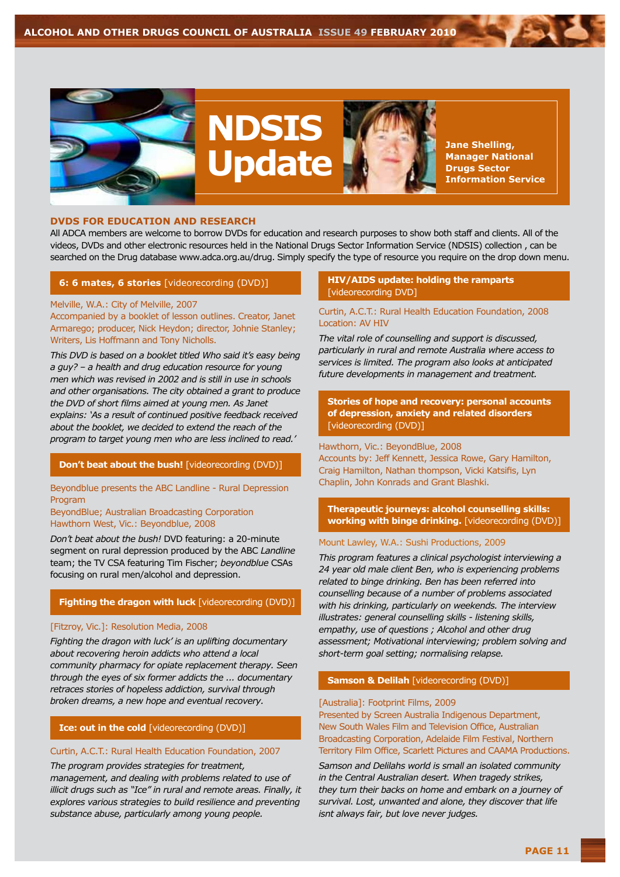

#### **DVDs for Education and Research**

All ADCA members are welcome to borrow DVDs for education and research purposes to show both staff and clients. All of the videos, DVDs and other electronic resources held in the National Drugs Sector Information Service (NDSIS) collection , can be searched on the Drug database www.adca.org.au/drug. Simply specify the type of resource you require on the drop down menu.

#### **6: 6 mates, 6 stories** [videorecording (DVD)]

Melville, W.A.: City of Melville, 2007 Accompanied by a booklet of lesson outlines. Creator, Janet Armarego; producer, Nick Heydon; director, Johnie Stanley; Writers, Lis Hoffmann and Tony Nicholls.

*This DVD is based on a booklet titled Who said it's easy being a guy? – a health and drug education resource for young men which was revised in 2002 and is still in use in schools and other organisations. The city obtained a grant to produce the DVD of short films aimed at young men. As Janet explains: 'As a result of continued positive feedback received about the booklet, we decided to extend the reach of the program to target young men who are less inclined to read.'*

#### **Don't beat about the bush!** [videorecording (DVD)]

Beyondblue presents the ABC Landline - Rural Depression Program

#### BeyondBlue; Australian Broadcasting Corporation Hawthorn West, Vic.: Beyondblue, 2008

*Don't beat about the bush!* DVD featuring: a 20-minute segment on rural depression produced by the ABC *Landline*  team; the TV CSA featuring Tim Fischer; *beyondblue* CSAs focusing on rural men/alcohol and depression.

#### **Fighting the dragon with luck** [videorecording (DVD)]

#### [Fitzroy, Vic.]: Resolution Media, 2008

*Fighting the dragon with luck' is an uplifting documentary about recovering heroin addicts who attend a local community pharmacy for opiate replacement therapy. Seen through the eyes of six former addicts the ... documentary retraces stories of hopeless addiction, survival through broken dreams, a new hope and eventual recovery.*

#### **Ice: out in the cold** [videorecording (DVD)]

#### Curtin, A.C.T.: Rural Health Education Foundation, 2007

*The program provides strategies for treatment, management, and dealing with problems related to use of illicit drugs such as "Ice" in rural and remote areas. Finally, it explores various strategies to build resilience and preventing substance abuse, particularly among young people.*

#### **HIV/AIDS update: holding the ramparts**  [videorecording DVD]

#### Curtin, A.C.T.: Rural Health Education Foundation, 2008 Location: AV HIV

*The vital role of counselling and support is discussed, particularly in rural and remote Australia where access to services is limited. The program also looks at anticipated future developments in management and treatment.*

#### **Stories of hope and recovery: personal accounts of depression, anxiety and related disorders**  [videorecording (DVD)]

Hawthorn, Vic.: BeyondBlue, 2008 Accounts by: Jeff Kennett, Jessica Rowe, Gary Hamilton, Craig Hamilton, Nathan thompson, Vicki Katsifis, Lyn Chaplin, John Konrads and Grant Blashki.

**Therapeutic journeys: alcohol counselling skills: working with binge drinking.** [videorecording (DVD)]

#### Mount Lawley, W.A.: Sushi Productions, 2009

*This program features a clinical psychologist interviewing a 24 year old male client Ben, who is experiencing problems related to binge drinking. Ben has been referred into counselling because of a number of problems associated with his drinking, particularly on weekends. The interview illustrates: general counselling skills - listening skills, empathy, use of questions ; Alcohol and other drug assessment; Motivational interviewing; problem solving and short-term goal setting; normalising relapse.*

#### **Samson & Delilah** [videorecording (DVD)]

#### [Australia]: Footprint Films, 2009

Presented by Screen Australia Indigenous Department, New South Wales Film and Television Office, Australian Broadcasting Corporation, Adelaide Film Festival, Northern Territory Film Office, Scarlett Pictures and CAAMA Productions.

*Samson and Delilahs world is small an isolated community in the Central Australian desert. When tragedy strikes, they turn their backs on home and embark on a journey of survival. Lost, unwanted and alone, they discover that life isnt always fair, but love never judges.*